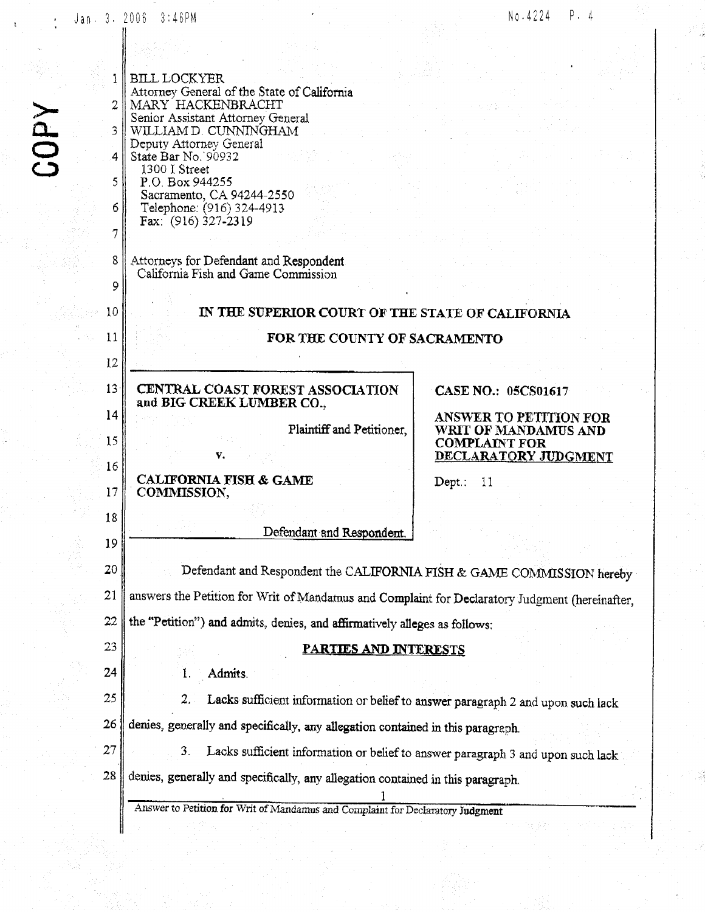|                  | Jan. 3. 2006 3:46PM                                                                            | P.4<br>No.4224                                                       |
|------------------|------------------------------------------------------------------------------------------------|----------------------------------------------------------------------|
|                  |                                                                                                |                                                                      |
| J.               | <b>BILL LOCKYER</b>                                                                            |                                                                      |
|                  | Attorney General of the State of California<br>MARY HACKENBRACHT                               |                                                                      |
|                  | Senior Assistant Attorney General                                                              |                                                                      |
| 3.               | WILLIAM D. CUNNINGHAM<br>Deputy Attorney General                                               |                                                                      |
| <b>NdDS</b><br>4 | State Bar No. 90932<br>1300 I Street                                                           |                                                                      |
| 5                | P.O. Box 944255<br>Sacramento, CA 94244-2550                                                   |                                                                      |
| 6.               | Telephone: (916) 324-4913<br>Fax: (916) 327-2319                                               |                                                                      |
|                  |                                                                                                |                                                                      |
| 8                | Attorneys for Defendant and Respondent<br>California Fish and Game Commission                  |                                                                      |
| 9                |                                                                                                |                                                                      |
| 10               | IN THE SUPERIOR COURT OF THE STATE OF CALIFORNIA                                               |                                                                      |
| 11               | FOR THE COUNTY OF SACRAMENTO                                                                   |                                                                      |
| 12               |                                                                                                |                                                                      |
| 13 <sup>°</sup>  | CENTRAL COAST FOREST ASSOCIATION<br>and BIG CREEK LUMBER CO.,                                  | <b>CASE NO.: 05CS01617</b>                                           |
| 14               |                                                                                                | ANSWER TO PETITION FOR                                               |
| 15               | Plaintiff and Petitioner,<br>V.                                                                | WRIT OF MANDAMUS AND<br><b>COMPLAINT FOR</b><br>DECLARATORY JUDGMENT |
| 16               | <b>CALIFORNIA FISH &amp; GAME</b>                                                              | Dept.: $11$                                                          |
| 17               | COMMISSION,                                                                                    |                                                                      |
| 18               | Defendant and Respondent.                                                                      |                                                                      |
| 19               |                                                                                                |                                                                      |
| 20               | Defendant and Respondent the CALIFORNIA FISH & GAME COMMISSION hereby                          |                                                                      |
| 21               | answers the Petition for Writ of Mandamus and Complaint for Declaratory Judgment (hereinafter, |                                                                      |
| 22               | the "Petition") and admits, denies, and affirmatively alleges as follows:                      |                                                                      |
| 23               | <u>PARTIES AND INTERESTS</u>                                                                   |                                                                      |
| 24               | Admits.<br>1.                                                                                  |                                                                      |
| 25               | Lacks sufficient information or belief to answer paragraph 2 and upon such lack<br>2. .        |                                                                      |
| 26               | denies, generally and specifically, any allegation contained in this paragraph.                |                                                                      |
| 27               | 3.<br>Lacks sufficient information or belief to answer paragraph 3 and upon such lack          |                                                                      |
| 28               | denies, generally and specifically, any allegation contained in this paragraph.                |                                                                      |
|                  | Answer to Petition for Writ of Mandamus and Complaint for Declaratory Judgment                 |                                                                      |
|                  |                                                                                                |                                                                      |

不稳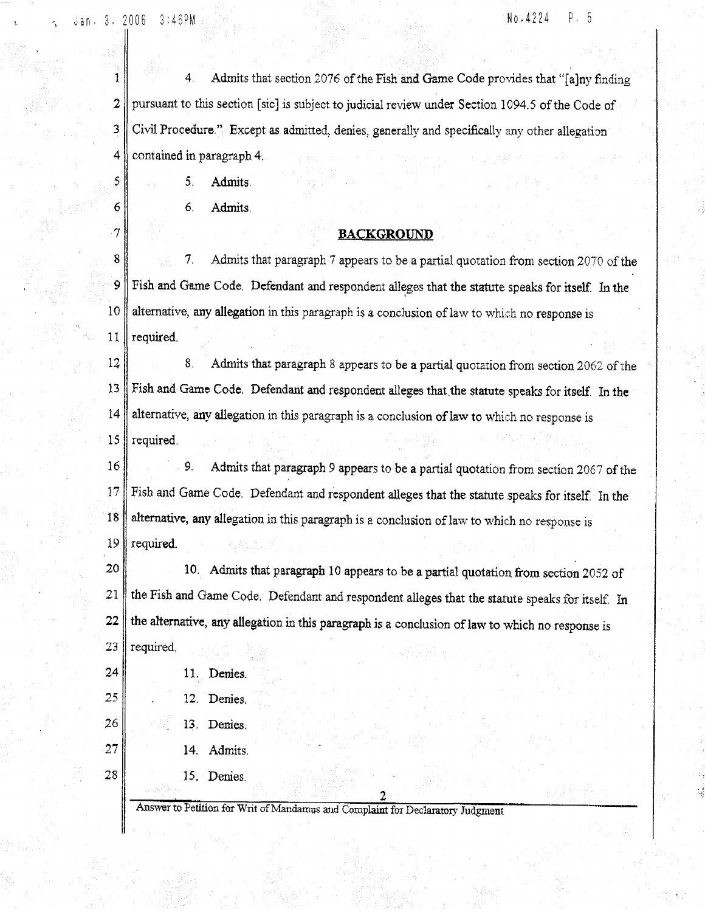Jan. 3. 2006  $3:46PM$ 

 $\mathcal{S}$ 

6

 $\tau$ 

#### No.4224  $P.5$

 $\mathbf{I}$  $4.$ Admits that section 2076 of the Fish and Game Code provides that "[a]ny finding  $\overline{2}$ pursuant to this section [sic] is subject to judicial review under Section 1094.5 of the Code of Civil Procedure." Except as admitted, denies, generally and specifically any other allegation 3  $\overline{4}$ contained in paragraph 4.

> 5. Admits.

> > 6. Admits

## **BACKGROUND**

 $\bf 8$ 7. Admits that paragraph 7 appears to be a partial quotation from section 2070 of the 9 Fish and Game Code. Defendant and respondent alleges that the statute speaks for itself. In the 10 alternative, any allegation in this paragraph is a conclusion of law to which no response is 11 required.

12 8. Admits that paragraph 8 appears to be a partial quotation from section 2062 of the 13 Fish and Game Code. Defendant and respondent alleges that the statute speaks for itself. In the alternative, any allegation in this paragraph is a conclusion of law to which no response is 14 15 required.

16 9. Admits that paragraph 9 appears to be a partial quotation from section 2067 of the Fish and Game Code. Defendant and respondent alleges that the statute speaks for itself. In the  $17$ alternative, any allegation in this paragraph is a conclusion of law to which no response is 18 19 required.

10. Admits that paragraph 10 appears to be a partial quotation from section 2052 of 20 the Fish and Game Code. Defendant and respondent alleges that the statute speaks for itself. In 21 the alternative, any allegation in this paragraph is a conclusion of law to which no response is 22 required. 23

11. Denies.

24

25

26

27

- 12. Denies.
- 13. Denies.
- 14. Admits.
- 28 15. Denies.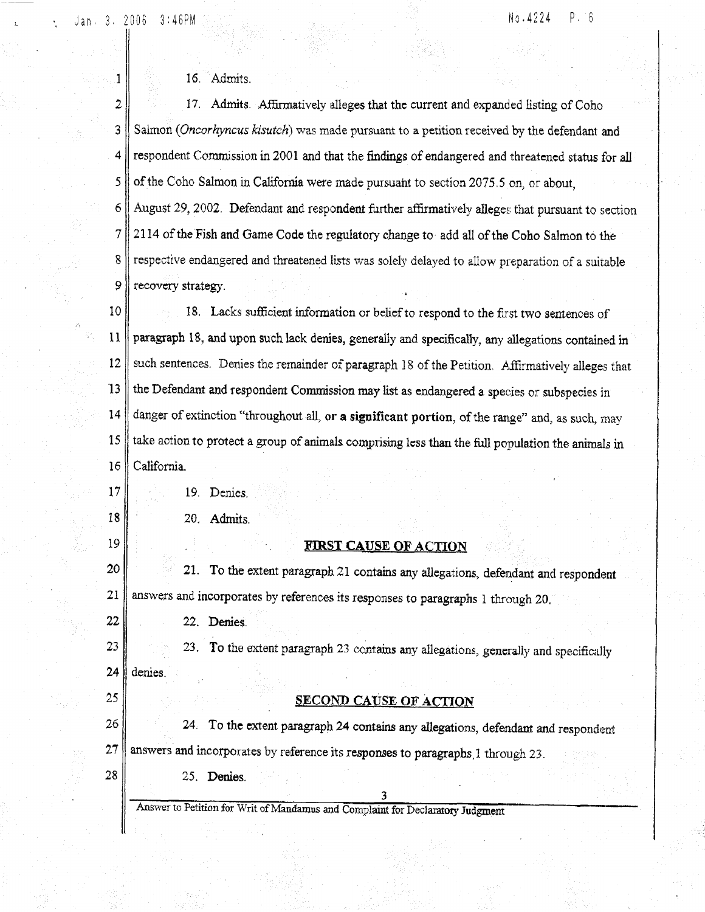Jan. 3. 2006 3:46PM

1

#### No.4224  $P = 6$

# 16. Admits.

 $\overline{2}$ 17. Admits. Affirmatively alleges that the current and expanded listing of Coho 3 Salmon (Oncorhyncus kisutch) was made pursuant to a petition received by the defendant and 4 respondent Commission in 2001 and that the findings of endangered and threatened status for all 5 of the Coho Salmon in California were made pursuant to section 2075.5 on, or about, 6 August 29, 2002. Defendant and respondent further affirmatively alleges that pursuant to section  $\overline{7}$ 2114 of the Fish and Game Code the regulatory change to add all of the Coho Salmon to the 8 respective endangered and threatened lists was solely delayed to allow preparation of a suitable 9 recovery strategy.

10 18. Lacks sufficient information or belief to respond to the first two sentences of 11 paragraph 18, and upon such lack denies, generally and specifically, any allegations contained in 12 such sentences. Denies the remainder of paragraph 18 of the Petition. Affirmatively alleges that  $13$ the Defendant and respondent Commission may list as endangered a species or subspecies in danger of extinction "throughout all, or a significant portion, of the range" and, as such, may 14 take action to protect a group of animals comprising less than the full population the animals in 15 16 California.

19. Denies.

 $17$ 

18

19

22

25

28

20. Admits.

## **FIRST CAUSE OF ACTION**

20 21. To the extent paragraph 21 contains any allegations, defendant and respondent answers and incorporates by references its responses to paragraphs 1 through 20. 21

22. Denies.

25. Denies.

23. To the extent paragraph 23 contains any allegations, generally and specifically 23 24 denies.

## SECOND CAUSE OF ACTION

26 24. To the extent paragraph 24 contains any allegations, defendant and respondent  $27$ answers and incorporates by reference its responses to paragraphs, 1 through 23.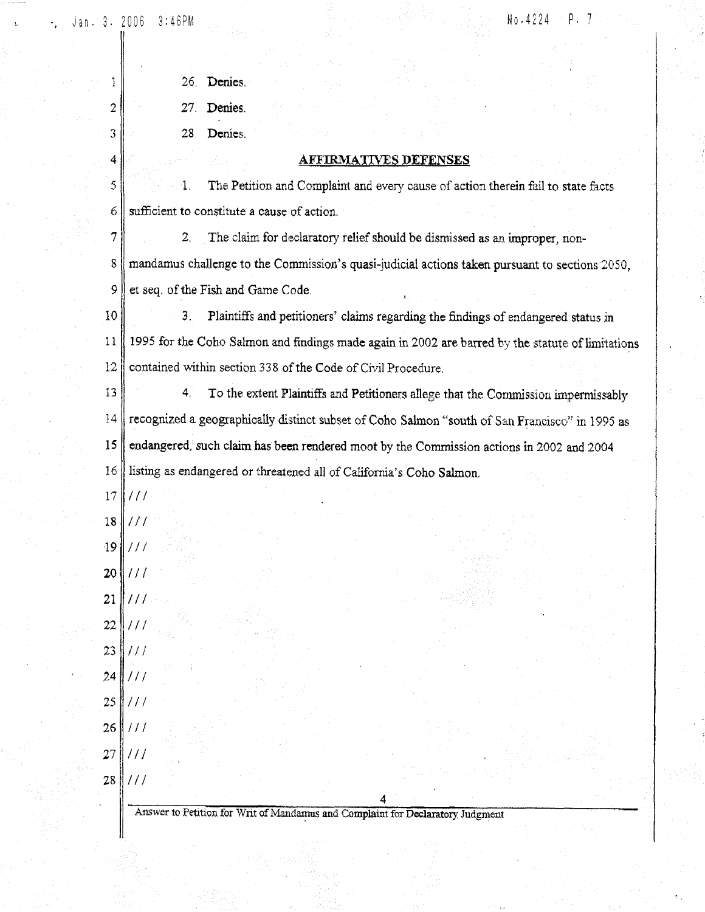$\mathbf{1}$ 

 $\mathbf{2}^{\circ}$ 

3

4

 $P.7$ No.4224

| 26 |        |
|----|--------|
|    | Demes. |

Denies.  $27.$ 

 $28.$ Denies.

## **AFFIRMATIVES DEFENSES**

5  $\mathbf{1}$ . The Petition and Complaint and every cause of action therein fail to state facts sufficient to constitute a cause of action. б

 $\overline{7}$  $\overline{2}$ . The claim for declaratory relief should be dismissed as an improper, non-8 mandamus challenge to the Commission's quasi-judicial actions taken pursuant to sections 2050, 9 et seq. of the Fish and Game Code.

10  $3_{-}$ Plaintiffs and petitioners' claims regarding the findings of endangered status in 1995 for the Coho Salmon and findings made again in 2002 are barred by the statute of limitations 11  $12$ contained within section 338 of the Code of Civil Procedure.

13 4, To the extent Plaintiffs and Petitioners allege that the Commission impermissably 14 recognized a geographically distinct subset of Coho Salmon "south of San Francisco" in 1995 as endangered, such claim has been rendered moot by the Commission actions in 2002 and 2004  $15$ 16 listing as endangered or threatened all of California's Coho Salmon.

- $\frac{1}{2}$ 17
- $111$  $18$
- 19 |  $111$
- $111$ 20

 $111$ 21  $111$ 22

23  $111$  $111$ 24

25  $111$ 

 $26$  $\frac{1}{2}$ 

 $111$ 27  $\|III\|$ 28